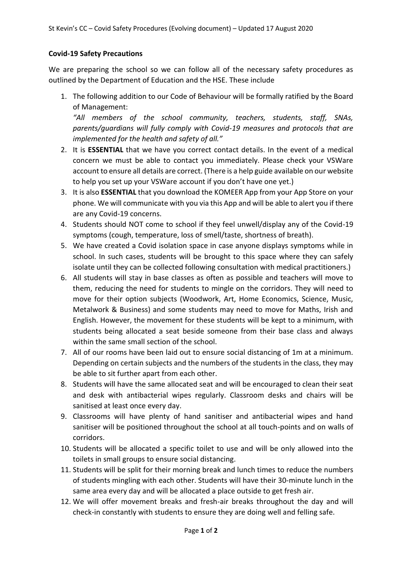## **Covid-19 Safety Precautions**

We are preparing the school so we can follow all of the necessary safety procedures as outlined by the Department of Education and the HSE. These include

1. The following addition to our Code of Behaviour will be formally ratified by the Board of Management:

*"All members of the school community, teachers, students, staff, SNAs, parents/guardians will fully comply with Covid-19 measures and protocols that are implemented for the health and safety of all."*

- 2. It is **ESSENTIAL** that we have you correct contact details. In the event of a medical concern we must be able to contact you immediately. Please check your VSWare account to ensure all details are correct. (There is a help guide available on our website to help you set up your VSWare account if you don't have one yet.)
- 3. It is also **ESSENTIAL** that you download the KOMEER App from your App Store on your phone. We will communicate with you via this App and will be able to alert you if there are any Covid-19 concerns.
- 4. Students should NOT come to school if they feel unwell/display any of the Covid-19 symptoms (cough, temperature, loss of smell/taste, shortness of breath).
- 5. We have created a Covid isolation space in case anyone displays symptoms while in school. In such cases, students will be brought to this space where they can safely isolate until they can be collected following consultation with medical practitioners.)
- 6. All students will stay in base classes as often as possible and teachers will move to them, reducing the need for students to mingle on the corridors. They will need to move for their option subjects (Woodwork, Art, Home Economics, Science, Music, Metalwork & Business) and some students may need to move for Maths, Irish and English. However, the movement for these students will be kept to a minimum, with students being allocated a seat beside someone from their base class and always within the same small section of the school.
- 7. All of our rooms have been laid out to ensure social distancing of 1m at a minimum. Depending on certain subjects and the numbers of the students in the class, they may be able to sit further apart from each other.
- 8. Students will have the same allocated seat and will be encouraged to clean their seat and desk with antibacterial wipes regularly. Classroom desks and chairs will be sanitised at least once every day.
- 9. Classrooms will have plenty of hand sanitiser and antibacterial wipes and hand sanitiser will be positioned throughout the school at all touch-points and on walls of corridors.
- 10. Students will be allocated a specific toilet to use and will be only allowed into the toilets in small groups to ensure social distancing.
- 11. Students will be split for their morning break and lunch times to reduce the numbers of students mingling with each other. Students will have their 30-minute lunch in the same area every day and will be allocated a place outside to get fresh air.
- 12. We will offer movement breaks and fresh-air breaks throughout the day and will check-in constantly with students to ensure they are doing well and felling safe.